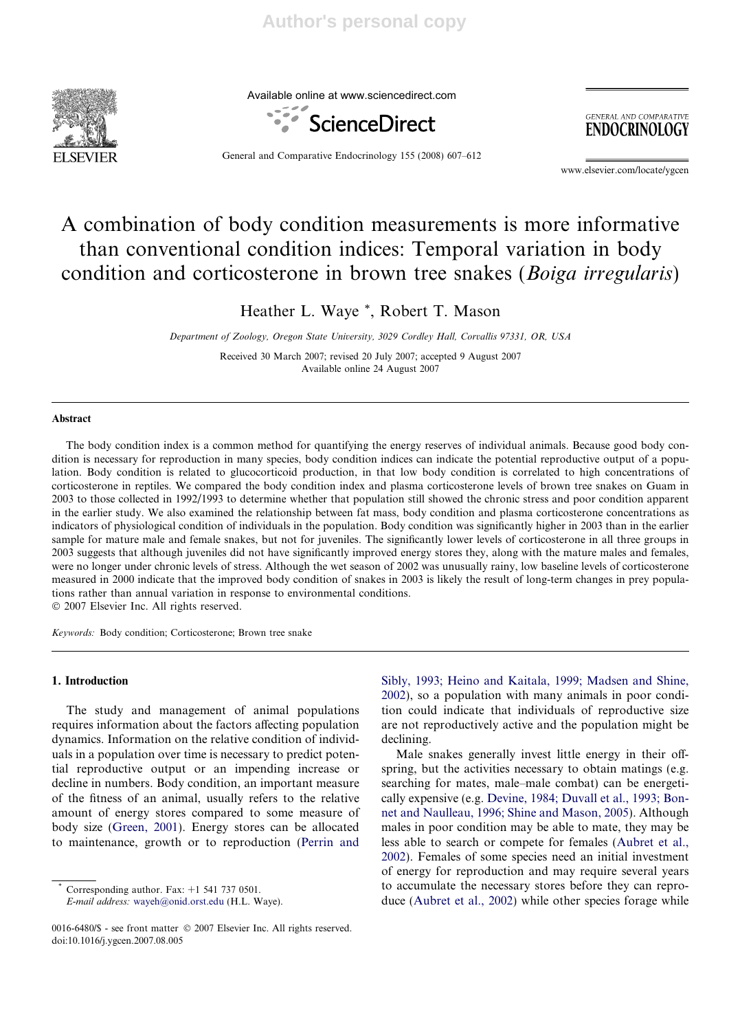

Available online at www.sciencedirect.com



**GENERAL AND COMPARATIVE ENDOCRINOLOGY** 

General and Comparative Endocrinology 155 (2008) 607–612

www.elsevier.com/locate/ygcen

# A combination of body condition measurements is more informative than conventional condition indices: Temporal variation in body condition and corticosterone in brown tree snakes (Boiga irregularis)

Heather L. Waye \*, Robert T. Mason

Department of Zoology, Oregon State University, 3029 Cordley Hall, Corvallis 97331, OR, USA

Received 30 March 2007; revised 20 July 2007; accepted 9 August 2007 Available online 24 August 2007

## Abstract

The body condition index is a common method for quantifying the energy reserves of individual animals. Because good body condition is necessary for reproduction in many species, body condition indices can indicate the potential reproductive output of a population. Body condition is related to glucocorticoid production, in that low body condition is correlated to high concentrations of corticosterone in reptiles. We compared the body condition index and plasma corticosterone levels of brown tree snakes on Guam in 2003 to those collected in 1992/1993 to determine whether that population still showed the chronic stress and poor condition apparent in the earlier study. We also examined the relationship between fat mass, body condition and plasma corticosterone concentrations as indicators of physiological condition of individuals in the population. Body condition was significantly higher in 2003 than in the earlier sample for mature male and female snakes, but not for juveniles. The significantly lower levels of corticosterone in all three groups in 2003 suggests that although juveniles did not have significantly improved energy stores they, along with the mature males and females, were no longer under chronic levels of stress. Although the wet season of 2002 was unusually rainy, low baseline levels of corticosterone measured in 2000 indicate that the improved body condition of snakes in 2003 is likely the result of long-term changes in prey populations rather than annual variation in response to environmental conditions.  $© 2007 Elsevier Inc. All rights reserved.$ 

Keywords: Body condition; Corticosterone; Brown tree snake

# 1. Introduction

The study and management of animal populations requires information about the factors affecting population dynamics. Information on the relative condition of individuals in a population over time is necessary to predict potential reproductive output or an impending increase or decline in numbers. Body condition, an important measure of the fitness of an animal, usually refers to the relative amount of energy stores compared to some measure of body size (Green, 2001). Energy stores can be allocated to maintenance, growth or to reproduction (Perrin and

Corresponding author. Fax:  $+1$  541 737 0501.

E-mail address: wayeh@onid.orst.edu (H.L. Waye).

Sibly, 1993; Heino and Kaitala, 1999; Madsen and Shine, 2002), so a population with many animals in poor condition could indicate that individuals of reproductive size are not reproductively active and the population might be declining.

Male snakes generally invest little energy in their offspring, but the activities necessary to obtain matings (e.g. searching for mates, male–male combat) can be energetically expensive (e.g. Devine, 1984; Duvall et al., 1993; Bonnet and Naulleau, 1996; Shine and Mason, 2005). Although males in poor condition may be able to mate, they may be less able to search or compete for females (Aubret et al., 2002). Females of some species need an initial investment of energy for reproduction and may require several years to accumulate the necessary stores before they can reproduce (Aubret et al., 2002) while other species forage while

<sup>0016-6480/\$ -</sup> see front matter © 2007 Elsevier Inc. All rights reserved. doi:10.1016/j.ygcen.2007.08.005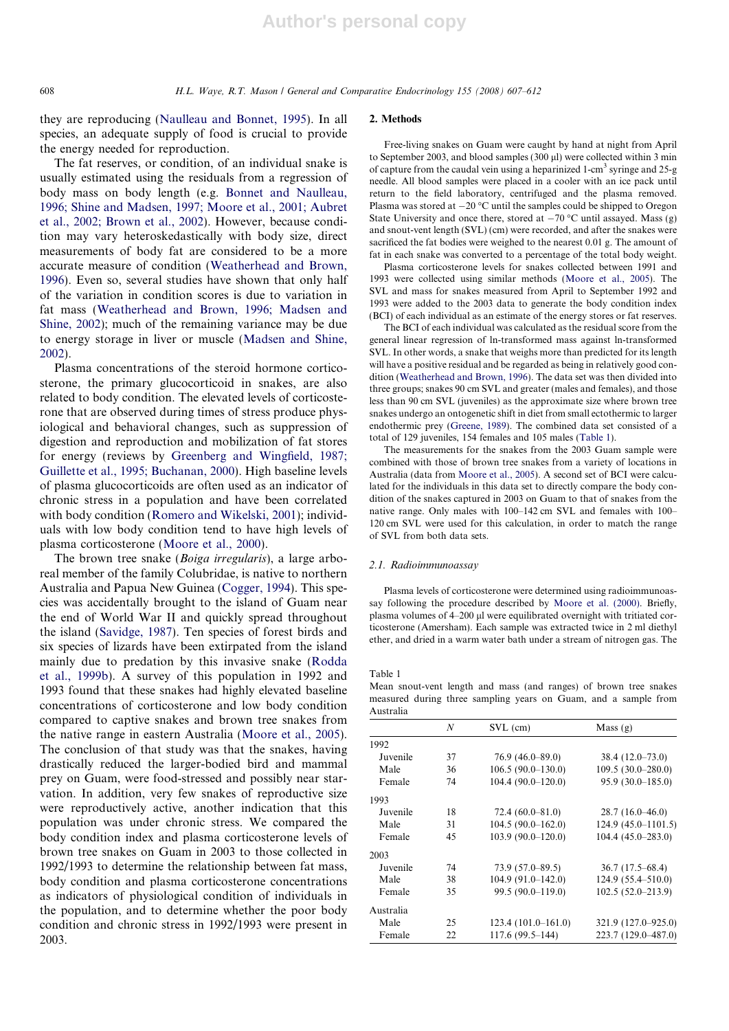they are reproducing (Naulleau and Bonnet, 1995). In all species, an adequate supply of food is crucial to provide the energy needed for reproduction.

The fat reserves, or condition, of an individual snake is usually estimated using the residuals from a regression of body mass on body length (e.g. Bonnet and Naulleau, 1996; Shine and Madsen, 1997; Moore et al., 2001; Aubret et al., 2002; Brown et al., 2002). However, because condition may vary heteroskedastically with body size, direct measurements of body fat are considered to be a more accurate measure of condition (Weatherhead and Brown, 1996). Even so, several studies have shown that only half of the variation in condition scores is due to variation in fat mass (Weatherhead and Brown, 1996; Madsen and Shine, 2002); much of the remaining variance may be due to energy storage in liver or muscle (Madsen and Shine, 2002).

Plasma concentrations of the steroid hormone corticosterone, the primary glucocorticoid in snakes, are also related to body condition. The elevated levels of corticosterone that are observed during times of stress produce physiological and behavioral changes, such as suppression of digestion and reproduction and mobilization of fat stores for energy (reviews by Greenberg and Wingfield, 1987; Guillette et al., 1995; Buchanan, 2000). High baseline levels of plasma glucocorticoids are often used as an indicator of chronic stress in a population and have been correlated with body condition (Romero and Wikelski, 2001); individuals with low body condition tend to have high levels of plasma corticosterone (Moore et al., 2000).

The brown tree snake (Boiga irregularis), a large arboreal member of the family Colubridae, is native to northern Australia and Papua New Guinea (Cogger, 1994). This species was accidentally brought to the island of Guam near the end of World War II and quickly spread throughout the island (Savidge, 1987). Ten species of forest birds and six species of lizards have been extirpated from the island mainly due to predation by this invasive snake (Rodda et al., 1999b). A survey of this population in 1992 and 1993 found that these snakes had highly elevated baseline concentrations of corticosterone and low body condition compared to captive snakes and brown tree snakes from the native range in eastern Australia (Moore et al., 2005). The conclusion of that study was that the snakes, having drastically reduced the larger-bodied bird and mammal prey on Guam, were food-stressed and possibly near starvation. In addition, very few snakes of reproductive size were reproductively active, another indication that this population was under chronic stress. We compared the body condition index and plasma corticosterone levels of brown tree snakes on Guam in 2003 to those collected in 1992/1993 to determine the relationship between fat mass, body condition and plasma corticosterone concentrations as indicators of physiological condition of individuals in the population, and to determine whether the poor body condition and chronic stress in 1992/1993 were present in 2003.

### 2. Methods

Free-living snakes on Guam were caught by hand at night from April to September 2003, and blood samples  $(300 \mu l)$  were collected within 3 min of capture from the caudal vein using a heparinized 1-cm<sup>3</sup> syringe and  $25-g$ needle. All blood samples were placed in a cooler with an ice pack until return to the field laboratory, centrifuged and the plasma removed. Plasma was stored at  $-20$  °C until the samples could be shipped to Oregon State University and once there, stored at  $-70$  °C until assayed. Mass (g) and snout-vent length (SVL) (cm) were recorded, and after the snakes were sacrificed the fat bodies were weighed to the nearest 0.01 g. The amount of fat in each snake was converted to a percentage of the total body weight.

Plasma corticosterone levels for snakes collected between 1991 and 1993 were collected using similar methods (Moore et al., 2005). The SVL and mass for snakes measured from April to September 1992 and 1993 were added to the 2003 data to generate the body condition index (BCI) of each individual as an estimate of the energy stores or fat reserves.

The BCI of each individual was calculated as the residual score from the general linear regression of ln-transformed mass against ln-transformed SVL. In other words, a snake that weighs more than predicted for its length will have a positive residual and be regarded as being in relatively good condition (Weatherhead and Brown, 1996). The data set was then divided into three groups; snakes 90 cm SVL and greater (males and females), and those less than 90 cm SVL (juveniles) as the approximate size where brown tree snakes undergo an ontogenetic shift in diet from small ectothermic to larger endothermic prey (Greene, 1989). The combined data set consisted of a total of 129 juveniles, 154 females and 105 males (Table 1).

The measurements for the snakes from the 2003 Guam sample were combined with those of brown tree snakes from a variety of locations in Australia (data from Moore et al., 2005). A second set of BCI were calculated for the individuals in this data set to directly compare the body condition of the snakes captured in 2003 on Guam to that of snakes from the native range. Only males with 100–142 cm SVL and females with 100– 120 cm SVL were used for this calculation, in order to match the range of SVL from both data sets.

#### 2.1. Radioimmunoassay

Plasma levels of corticosterone were determined using radioimmunoassay following the procedure described by Moore et al. (2000). Briefly, plasma volumes of 4–200 µl were equilibrated overnight with tritiated corticosterone (Amersham). Each sample was extracted twice in 2 ml diethyl ether, and dried in a warm water bath under a stream of nitrogen gas. The

Table 1

Mean snout-vent length and mass (and ranges) of brown tree snakes measured during three sampling years on Guam, and a sample from Australia

|           | N  | $SVL$ (cm)            | Mass $(g)$             |
|-----------|----|-----------------------|------------------------|
| 1992      |    |                       |                        |
| Juvenile  | 37 | $76.9(46.0 - 89.0)$   | $38.4(12.0-73.0)$      |
| Male      | 36 | $106.5(90.0-130.0)$   | $109.5(30.0-280.0)$    |
| Female    | 74 | $104.4(90.0-120.0)$   | $95.9(30.0 - 185.0)$   |
| 1993      |    |                       |                        |
| Juvenile  | 18 | $72.4(60.0 - 81.0)$   | $28.7(16.0-46.0)$      |
| Male      | 31 | $104.5(90.0 - 162.0)$ | $124.9(45.0 - 1101.5)$ |
| Female    | 45 | $103.9(90.0-120.0)$   | $104.4(45.0 - 283.0)$  |
| 2003      |    |                       |                        |
| Juvenile  | 74 | $73.9(57.0 - 89.5)$   | 36.7(17.5–68.4)        |
| Male      | 38 | $104.9(91.0 - 142.0)$ | $124.9(55.4 - 510.0)$  |
| Female    | 35 | 99.5 (90.0-119.0)     | $102.5(52.0-213.9)$    |
| Australia |    |                       |                        |
| Male      | 25 | $123.4(101.0-161.0)$  | 321.9 (127.0–925.0)    |
| Female    | 22 | 117.6 (99.5-144)      | 223.7 (129.0-487.0)    |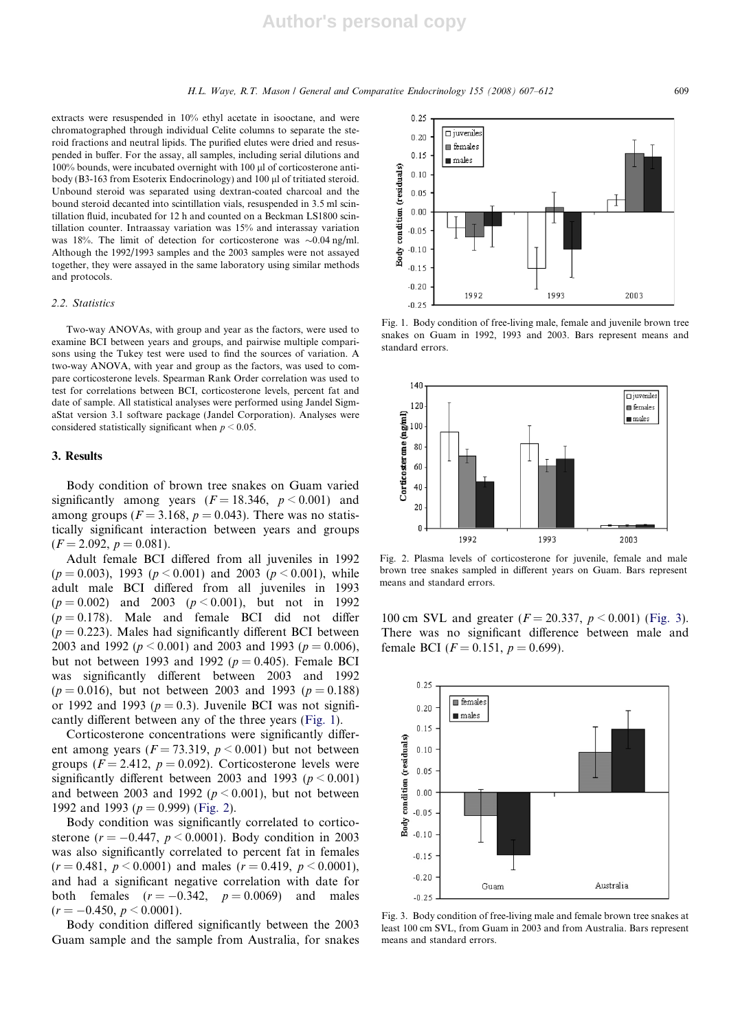$0.25$ 

extracts were resuspended in 10% ethyl acetate in isooctane, and were chromatographed through individual Celite columns to separate the steroid fractions and neutral lipids. The purified elutes were dried and resuspended in buffer. For the assay, all samples, including serial dilutions and 100% bounds, were incubated overnight with 100 µl of corticosterone antibody (B3-163 from Esoterix Endocrinology) and 100 ul of tritiated steroid. Unbound steroid was separated using dextran-coated charcoal and the bound steroid decanted into scintillation vials, resuspended in 3.5 ml scintillation fluid, incubated for 12 h and counted on a Beckman LS1800 scintillation counter. Intraassay variation was 15% and interassay variation was 18%. The limit of detection for corticosterone was  $\sim 0.04$  ng/ml. Although the 1992/1993 samples and the 2003 samples were not assayed together, they were assayed in the same laboratory using similar methods and protocols.

#### 2.2. Statistics

Two-way ANOVAs, with group and year as the factors, were used to examine BCI between years and groups, and pairwise multiple comparisons using the Tukey test were used to find the sources of variation. A two-way ANOVA, with year and group as the factors, was used to compare corticosterone levels. Spearman Rank Order correlation was used to test for correlations between BCI, corticosterone levels, percent fat and date of sample. All statistical analyses were performed using Jandel SigmaStat version 3.1 software package (Jandel Corporation). Analyses were considered statistically significant when  $p < 0.05$ .

#### 3. Results

Body condition of brown tree snakes on Guam varied significantly among years  $(F = 18.346, p < 0.001)$  and among groups ( $F = 3.168$ ,  $p = 0.043$ ). There was no statistically significant interaction between years and groups  $(F = 2.092, p = 0.081).$ 

Adult female BCI differed from all juveniles in 1992  $(p = 0.003)$ , 1993  $(p < 0.001)$  and 2003  $(p < 0.001)$ , while adult male BCI differed from all juveniles in 1993  $(p = 0.002)$  and 2003  $(p < 0.001)$ , but not in 1992  $(p = 0.178)$ . Male and female BCI did not differ  $(p = 0.223)$ . Males had significantly different BCI between 2003 and 1992 ( $p \le 0.001$ ) and 2003 and 1993 ( $p = 0.006$ ), but not between 1993 and 1992 ( $p = 0.405$ ). Female BCI was significantly different between 2003 and 1992  $(p = 0.016)$ , but not between 2003 and 1993  $(p = 0.188)$ or 1992 and 1993 ( $p = 0.3$ ). Juvenile BCI was not significantly different between any of the three years (Fig. 1).

Corticosterone concentrations were significantly different among years ( $F = 73.319$ ,  $p < 0.001$ ) but not between groups ( $F = 2.412$ ,  $p = 0.092$ ). Corticosterone levels were significantly different between 2003 and 1993 ( $p \le 0.001$ ) and between 2003 and 1992 ( $p \le 0.001$ ), but not between 1992 and 1993 ( $p = 0.999$ ) (Fig. 2).

Body condition was significantly correlated to corticosterone ( $r = -0.447$ ,  $p < 0.0001$ ). Body condition in 2003 was also significantly correlated to percent fat in females  $(r = 0.481, p \le 0.0001)$  and males  $(r = 0.419, p \le 0.0001)$ , and had a significant negative correlation with date for both females  $(r = -0.342, p = 0.0069)$  and males  $(r = -0.450, p \le 0.0001).$ 

Body condition differed significantly between the 2003 Guam sample and the sample from Australia, for snakes

 $\square$  juveniles  $0.20$  $\blacksquare$  females  $0.15$  $mals$ condition (residuals)  $0.10$  $0.05$  $0.00$  $-0.05$ Body  $-0.10$  $-0.15$  $-0.20$ 1992 1993 2003  $-0.25$ 

Fig. 1. Body condition of free-living male, female and juvenile brown tree snakes on Guam in 1992, 1993 and 2003. Bars represent means and standard errors.



Fig. 2. Plasma levels of corticosterone for juvenile, female and male brown tree snakes sampled in different years on Guam. Bars represent means and standard errors.

100 cm SVL and greater  $(F = 20.337, p \le 0.001)$  (Fig. 3). There was no significant difference between male and female BCI ( $F = 0.151$ ,  $p = 0.699$ ).



Fig. 3. Body condition of free-living male and female brown tree snakes at least 100 cm SVL, from Guam in 2003 and from Australia. Bars represent means and standard errors.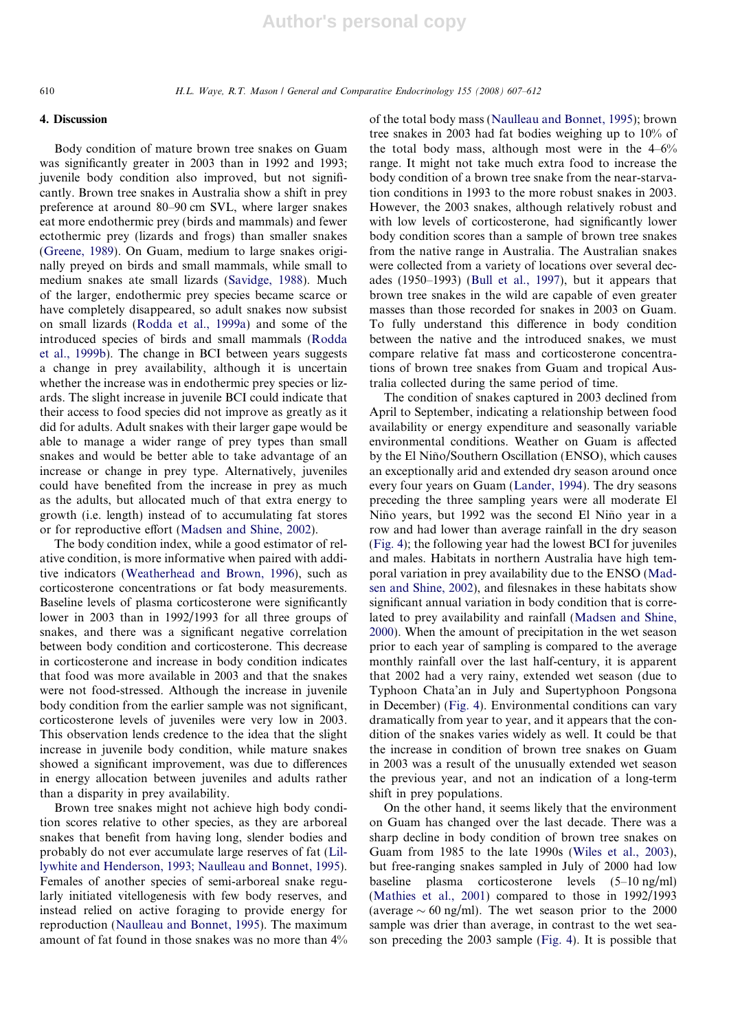## 4. Discussion

Body condition of mature brown tree snakes on Guam was significantly greater in 2003 than in 1992 and 1993; juvenile body condition also improved, but not significantly. Brown tree snakes in Australia show a shift in prey preference at around 80–90 cm SVL, where larger snakes eat more endothermic prey (birds and mammals) and fewer ectothermic prey (lizards and frogs) than smaller snakes (Greene, 1989). On Guam, medium to large snakes originally preyed on birds and small mammals, while small to medium snakes ate small lizards (Savidge, 1988). Much of the larger, endothermic prey species became scarce or have completely disappeared, so adult snakes now subsist on small lizards (Rodda et al., 1999a) and some of the introduced species of birds and small mammals (Rodda et al., 1999b). The change in BCI between years suggests a change in prey availability, although it is uncertain whether the increase was in endothermic prey species or lizards. The slight increase in juvenile BCI could indicate that their access to food species did not improve as greatly as it did for adults. Adult snakes with their larger gape would be able to manage a wider range of prey types than small snakes and would be better able to take advantage of an increase or change in prey type. Alternatively, juveniles could have benefited from the increase in prey as much as the adults, but allocated much of that extra energy to growth (i.e. length) instead of to accumulating fat stores or for reproductive effort (Madsen and Shine, 2002).

The body condition index, while a good estimator of relative condition, is more informative when paired with additive indicators (Weatherhead and Brown, 1996), such as corticosterone concentrations or fat body measurements. Baseline levels of plasma corticosterone were significantly lower in 2003 than in 1992/1993 for all three groups of snakes, and there was a significant negative correlation between body condition and corticosterone. This decrease in corticosterone and increase in body condition indicates that food was more available in 2003 and that the snakes were not food-stressed. Although the increase in juvenile body condition from the earlier sample was not significant, corticosterone levels of juveniles were very low in 2003. This observation lends credence to the idea that the slight increase in juvenile body condition, while mature snakes showed a significant improvement, was due to differences in energy allocation between juveniles and adults rather than a disparity in prey availability.

Brown tree snakes might not achieve high body condition scores relative to other species, as they are arboreal snakes that benefit from having long, slender bodies and probably do not ever accumulate large reserves of fat (Lillywhite and Henderson, 1993; Naulleau and Bonnet, 1995). Females of another species of semi-arboreal snake regularly initiated vitellogenesis with few body reserves, and instead relied on active foraging to provide energy for reproduction (Naulleau and Bonnet, 1995). The maximum amount of fat found in those snakes was no more than 4% of the total body mass (Naulleau and Bonnet, 1995); brown tree snakes in 2003 had fat bodies weighing up to 10% of the total body mass, although most were in the  $4-6\%$ range. It might not take much extra food to increase the body condition of a brown tree snake from the near-starvation conditions in 1993 to the more robust snakes in 2003. However, the 2003 snakes, although relatively robust and with low levels of corticosterone, had significantly lower body condition scores than a sample of brown tree snakes from the native range in Australia. The Australian snakes were collected from a variety of locations over several decades (1950–1993) (Bull et al., 1997), but it appears that brown tree snakes in the wild are capable of even greater masses than those recorded for snakes in 2003 on Guam. To fully understand this difference in body condition between the native and the introduced snakes, we must compare relative fat mass and corticosterone concentrations of brown tree snakes from Guam and tropical Australia collected during the same period of time.

The condition of snakes captured in 2003 declined from April to September, indicating a relationship between food availability or energy expenditure and seasonally variable environmental conditions. Weather on Guam is affected by the El Niño/Southern Oscillation (ENSO), which causes an exceptionally arid and extended dry season around once every four years on Guam (Lander, 1994). The dry seasons preceding the three sampling years were all moderate El Niño years, but 1992 was the second El Niño year in a row and had lower than average rainfall in the dry season (Fig. 4); the following year had the lowest BCI for juveniles and males. Habitats in northern Australia have high temporal variation in prey availability due to the ENSO (Madsen and Shine, 2002), and filesnakes in these habitats show significant annual variation in body condition that is correlated to prey availability and rainfall (Madsen and Shine, 2000). When the amount of precipitation in the wet season prior to each year of sampling is compared to the average monthly rainfall over the last half-century, it is apparent that 2002 had a very rainy, extended wet season (due to Typhoon Chata'an in July and Supertyphoon Pongsona in December) (Fig. 4). Environmental conditions can vary dramatically from year to year, and it appears that the condition of the snakes varies widely as well. It could be that the increase in condition of brown tree snakes on Guam in 2003 was a result of the unusually extended wet season the previous year, and not an indication of a long-term shift in prey populations.

On the other hand, it seems likely that the environment on Guam has changed over the last decade. There was a sharp decline in body condition of brown tree snakes on Guam from 1985 to the late 1990s (Wiles et al., 2003), but free-ranging snakes sampled in July of 2000 had low baseline plasma corticosterone levels (5–10 ng/ml) (Mathies et al., 2001) compared to those in 1992/1993 (average  $\sim 60$  ng/ml). The wet season prior to the 2000 sample was drier than average, in contrast to the wet season preceding the 2003 sample (Fig. 4). It is possible that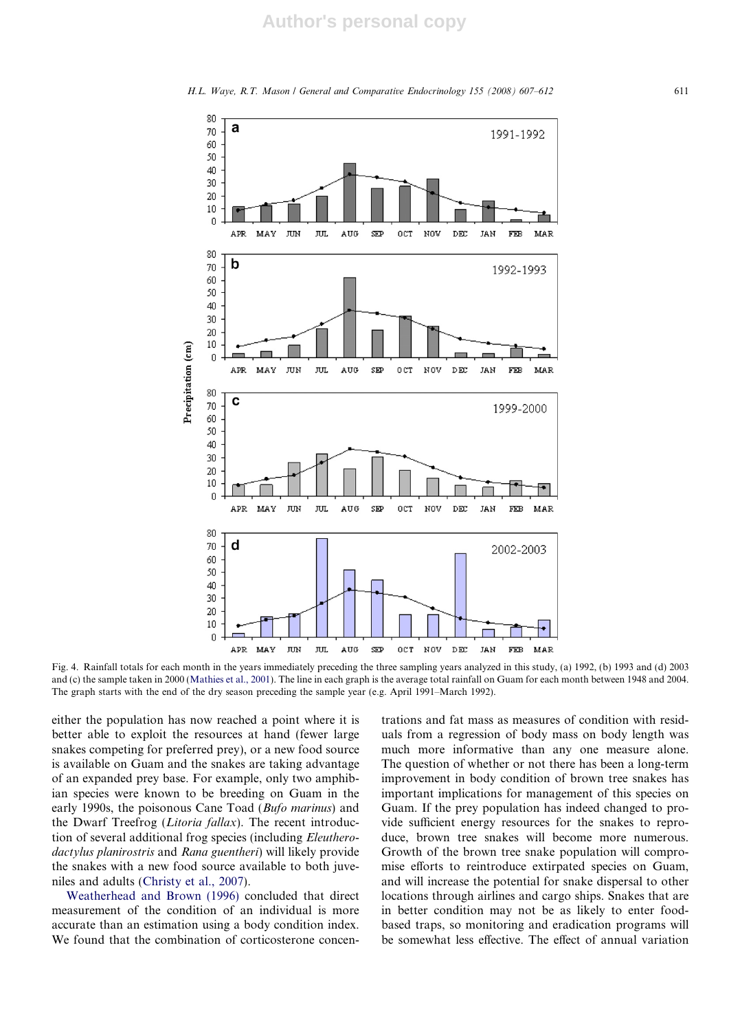



Fig. 4. Rainfall totals for each month in the years immediately preceding the three sampling years analyzed in this study, (a) 1992, (b) 1993 and (d) 2003 and (c) the sample taken in 2000 (Mathies et al., 2001). The line in each graph is the average total rainfall on Guam for each month between 1948 and 2004. The graph starts with the end of the dry season preceding the sample year (e.g. April 1991–March 1992).

either the population has now reached a point where it is better able to exploit the resources at hand (fewer large snakes competing for preferred prey), or a new food source is available on Guam and the snakes are taking advantage of an expanded prey base. For example, only two amphibian species were known to be breeding on Guam in the early 1990s, the poisonous Cane Toad (Bufo marinus) and the Dwarf Treefrog (Litoria fallax). The recent introduction of several additional frog species (including Eleutherodactylus planirostris and Rana guentheri) will likely provide the snakes with a new food source available to both juveniles and adults (Christy et al., 2007).

Weatherhead and Brown (1996) concluded that direct measurement of the condition of an individual is more accurate than an estimation using a body condition index. We found that the combination of corticosterone concentrations and fat mass as measures of condition with residuals from a regression of body mass on body length was much more informative than any one measure alone. The question of whether or not there has been a long-term improvement in body condition of brown tree snakes has important implications for management of this species on Guam. If the prey population has indeed changed to provide sufficient energy resources for the snakes to reproduce, brown tree snakes will become more numerous. Growth of the brown tree snake population will compromise efforts to reintroduce extirpated species on Guam, and will increase the potential for snake dispersal to other locations through airlines and cargo ships. Snakes that are in better condition may not be as likely to enter foodbased traps, so monitoring and eradication programs will be somewhat less effective. The effect of annual variation